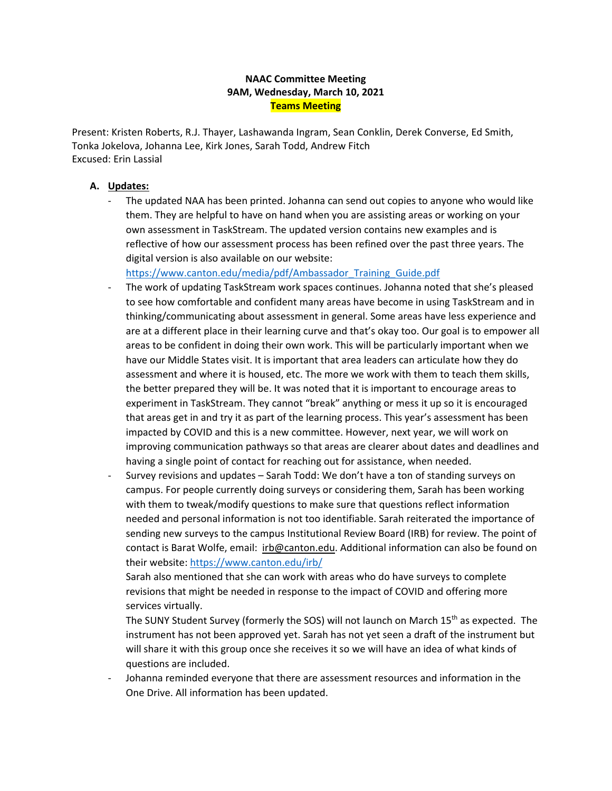# **9AM, Wednesday, March 10, 2021 NAAC Committee Meeting Teams Meeting**

Present: Kristen Roberts, R.J. Thayer, Lashawanda Ingram, Sean Conklin, Derek Converse, Ed Smith, Tonka Jokelova, Johanna Lee, Kirk Jones, Sarah Todd, Andrew Fitch Excused: Erin Lassial

# **A. Updates:**

 - The updated NAA has been printed. Johanna can send out copies to anyone who would like them. They are helpful to have on hand when you are assisting areas or working on your own assessment in TaskStream. The updated version contains new examples and is reflective of how our assessment process has been refined over the past three years. The digital version is also available on our website:

https://www.canton.edu/media/pdf/Ambassador\_Training\_Guide.pdf

- to see how comfortable and confident many areas have become in using TaskStream and in are at a different place in their learning curve and that's okay too. Our goal is to empower all assessment and where it is housed, etc. The more we work with them to teach them skills, the better prepared they will be. It was noted that it is important to encourage areas to experiment in TaskStream. They cannot "break" anything or mess it up so it is encouraged The work of updating TaskStream work spaces continues. Johanna noted that she's pleased thinking/communicating about assessment in general. Some areas have less experience and areas to be confident in doing their own work. This will be particularly important when we have our Middle States visit. It is important that area leaders can articulate how they do that areas get in and try it as part of the learning process. This year's assessment has been impacted by COVID and this is a new committee. However, next year, we will work on improving communication pathways so that areas are clearer about dates and deadlines and having a single point of contact for reaching out for assistance, when needed.
- - Survey revisions and updates Sarah Todd: We don't have a ton of standing surveys on campus. For people currently doing surveys or considering them, Sarah has been working with them to tweak/modify questions to make sure that questions reflect information needed and personal information is not too identifiable. Sarah reiterated the importance of contact is Barat Wolfe, email: [irb@canton.edu.](mailto:irb@canton.edu) Additional information can also be found on their website: https://www.canton.edu/irb/ sending new surveys to the campus Institutional Review Board (IRB) for review. The point of

 revisions that might be needed in response to the impact of COVID and offering more Sarah also mentioned that she can work with areas who do have surveys to complete services virtually.

The SUNY Student Survey (formerly the SOS) will not launch on March 15<sup>th</sup> as expected. The will share it with this group once she receives it so we will have an idea of what kinds of instrument has not been approved yet. Sarah has not yet seen a draft of the instrument but questions are included.

 - Johanna reminded everyone that there are assessment resources and information in the One Drive. All information has been updated.